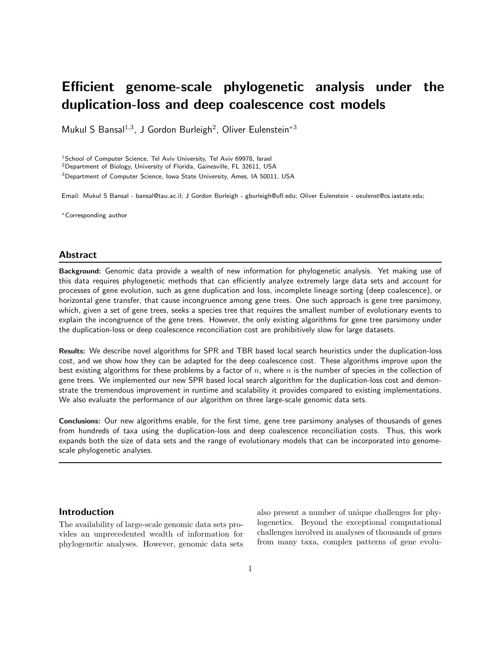# Efficient genome-scale phylogenetic analysis under the duplication-loss and deep coalescence cost models

Mukul S Bansal<sup>1,3</sup>, J Gordon Burleigh<sup>2</sup>, Oliver Eulenstein<sup>\*3</sup>

<sup>1</sup> School of Computer Science, Tel Aviv University, Tel Aviv 69978, Israel

<sup>2</sup>Department of Biology, University of Florida, Gainesville, FL 32611, USA

<sup>3</sup>Department of Computer Science, Iowa State University, Ames, IA 50011, USA

Email: Mukul S Bansal - bansal@tau.ac.il; J Gordon Burleigh - gburleigh@ufl.edu; Oliver Eulenstein - oeulenst@cs.iastate.edu;

<sup>∗</sup>Corresponding author

### Abstract

Background: Genomic data provide a wealth of new information for phylogenetic analysis. Yet making use of this data requires phylogenetic methods that can efficiently analyze extremely large data sets and account for processes of gene evolution, such as gene duplication and loss, incomplete lineage sorting (deep coalescence), or horizontal gene transfer, that cause incongruence among gene trees. One such approach is gene tree parsimony, which, given a set of gene trees, seeks a species tree that requires the smallest number of evolutionary events to explain the incongruence of the gene trees. However, the only existing algorithms for gene tree parsimony under the duplication-loss or deep coalescence reconciliation cost are prohibitively slow for large datasets.

Results: We describe novel algorithms for SPR and TBR based local search heuristics under the duplication-loss cost, and we show how they can be adapted for the deep coalescence cost. These algorithms improve upon the best existing algorithms for these problems by a factor of n, where n is the number of species in the collection of gene trees. We implemented our new SPR based local search algorithm for the duplication-loss cost and demonstrate the tremendous improvement in runtime and scalability it provides compared to existing implementations. We also evaluate the performance of our algorithm on three large-scale genomic data sets.

Conclusions: Our new algorithms enable, for the first time, gene tree parsimony analyses of thousands of genes from hundreds of taxa using the duplication-loss and deep coalescence reconciliation costs. Thus, this work expands both the size of data sets and the range of evolutionary models that can be incorporated into genomescale phylogenetic analyses.

## Introduction

The availability of large-scale genomic data sets provides an unprecedented wealth of information for phylogenetic analyses. However, genomic data sets also present a number of unique challenges for phylogenetics. Beyond the exceptional computational challenges involved in analyses of thousands of genes from many taxa, complex patterns of gene evolu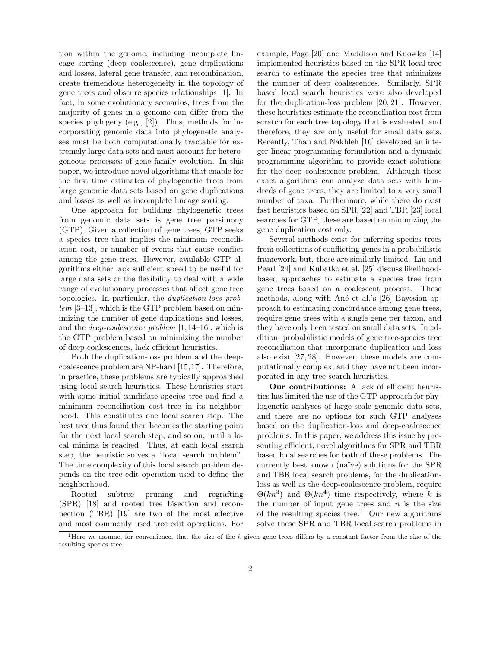tion within the genome, including incomplete lineage sorting (deep coalescence), gene duplications and losses, lateral gene transfer, and recombination, create tremendous heterogeneity in the topology of gene trees and obscure species relationships [1]. In fact, in some evolutionary scenarios, trees from the majority of genes in a genome can differ from the species phylogeny (e.g., [2]). Thus, methods for incorporating genomic data into phylogenetic analyses must be both computationally tractable for extremely large data sets and must account for heterogeneous processes of gene family evolution. In this paper, we introduce novel algorithms that enable for the first time estimates of phylogenetic trees from large genomic data sets based on gene duplications and losses as well as incomplete lineage sorting.

One approach for building phylogenetic trees from genomic data sets is gene tree parsimony (GTP). Given a collection of gene trees, GTP seeks a species tree that implies the minimum reconciliation cost, or number of events that cause conflict among the gene trees. However, available GTP algorithms either lack sufficient speed to be useful for large data sets or the flexibility to deal with a wide range of evolutionary processes that affect gene tree topologies. In particular, the *duplication-loss problem* [3–13], which is the GTP problem based on minimizing the number of gene duplications and losses, and the *deep-coalescence problem* [1,14–16], which is the GTP problem based on minimizing the number of deep coalescences, lack efficient heuristics.

Both the duplication-loss problem and the deepcoalescence problem are NP-hard [15,17]. Therefore, in practice, these problems are typically approached using local search heuristics. These heuristics start with some initial candidate species tree and find a minimum reconciliation cost tree in its neighborhood. This constitutes one local search step. The best tree thus found then becomes the starting point for the next local search step, and so on, until a local minima is reached. Thus, at each local search step, the heuristic solves a "local search problem". The time complexity of this local search problem depends on the tree edit operation used to define the neighborhood.

Rooted subtree pruning and regrafting (SPR) [18] and rooted tree bisection and reconnection (TBR) [19] are two of the most effective and most commonly used tree edit operations. For example, Page [20] and Maddison and Knowles [14] implemented heuristics based on the SPR local tree search to estimate the species tree that minimizes the number of deep coalescences. Similarly, SPR based local search heuristics were also developed for the duplication-loss problem [20, 21]. However, these heuristics estimate the reconciliation cost from scratch for each tree topology that is evaluated, and therefore, they are only useful for small data sets. Recently, Than and Nakhleh [16] developed an integer linear programming formulation and a dynamic programming algorithm to provide exact solutions for the deep coalescence problem. Although these exact algorithms can analyze data sets with hundreds of gene trees, they are limited to a very small number of taxa. Furthermore, while there do exist fast heuristics based on SPR [22] and TBR [23] local searches for GTP, these are based on minimizing the gene duplication cost only.

Several methods exist for inferring species trees from collections of conflicting genes in a probabilistic framework, but, these are similarly limited. Liu and Pearl [24] and Kubatko et al. [25] discuss likelihoodbased approaches to estimate a species tree from gene trees based on a coalescent process. These methods, along with Ané et al.'s [26] Bayesian approach to estimating concordance among gene trees, require gene trees with a single gene per taxon, and they have only been tested on small data sets. In addition, probabilistic models of gene tree-species tree reconciliation that incorporate duplication and loss also exist [27, 28]. However, these models are computationally complex, and they have not been incorporated in any tree search heuristics.

Our contributions: A lack of efficient heuristics has limited the use of the GTP approach for phylogenetic analyses of large-scale genomic data sets, and there are no options for such GTP analyses based on the duplication-loss and deep-coalescence problems. In this paper, we address this issue by presenting efficient, novel algorithms for SPR and TBR based local searches for both of these problems. The currently best known (na¨ıve) solutions for the SPR and TBR local search problems, for the duplicationloss as well as the deep-coalescence problem, require  $\Theta(kn^3)$  and  $\Theta(kn^4)$  time respectively, where k is the number of input gene trees and  $n$  is the size of the resulting species tree.<sup>1</sup> Our new algorithms solve these SPR and TBR local search problems in

<sup>&</sup>lt;sup>1</sup>Here we assume, for convenience, that the size of the k given gene trees differs by a constant factor from the size of the resulting species tree.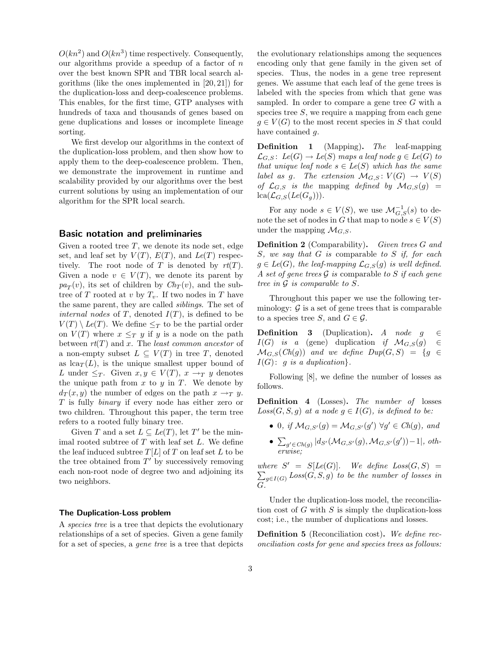$O(kn^2)$  and  $O(kn^3)$  time respectively. Consequently, our algorithms provide a speedup of a factor of  $n$ over the best known SPR and TBR local search algorithms (like the ones implemented in [20, 21]) for the duplication-loss and deep-coalescence problems. This enables, for the first time, GTP analyses with hundreds of taxa and thousands of genes based on gene duplications and losses or incomplete lineage sorting.

We first develop our algorithms in the context of the duplication-loss problem, and then show how to apply them to the deep-coalescence problem. Then, we demonstrate the improvement in runtime and scalability provided by our algorithms over the best current solutions by using an implementation of our algorithm for the SPR local search.

## Basic notation and preliminaries

Given a rooted tree  $T$ , we denote its node set, edge set, and leaf set by  $V(T)$ ,  $E(T)$ , and  $Le(T)$  respectively. The root node of T is denoted by  $rt(T)$ . Given a node  $v \in V(T)$ , we denote its parent by  $pa_T(v)$ , its set of children by  $Ch_T(v)$ , and the subtree of T rooted at v by  $T_v$ . If two nodes in T have the same parent, they are called *siblings*. The set of *internal nodes* of  $T$ , denoted  $I(T)$ , is defined to be  $V(T) \setminus Le(T)$ . We define  $\leq_T$  to be the partial order on  $V(T)$  where  $x \leq_T y$  if y is a node on the path between  $rt(T)$  and x. The *least common ancestor* of a non-empty subset  $L \subseteq V(T)$  in tree T, denoted as  $lca_T(L)$ , is the unique smallest upper bound of L under  $\leq_T$ . Given  $x, y \in V(T)$ ,  $x \to_T y$  denotes the unique path from  $x$  to  $y$  in  $T$ . We denote by  $d_T(x, y)$  the number of edges on the path  $x \rightarrow_T y$ . T is fully *binary* if every node has either zero or two children. Throughout this paper, the term tree refers to a rooted fully binary tree.

Given T and a set  $L \subseteq Le(T)$ , let T' be the minimal rooted subtree of  $T$  with leaf set  $L$ . We define the leaf induced subtree  $T[L]$  of T on leaf set L to be the tree obtained from  $T'$  by successively removing each non-root node of degree two and adjoining its two neighbors.

#### The Duplication-Loss problem

A *species tree* is a tree that depicts the evolutionary relationships of a set of species. Given a gene family for a set of species, a *gene tree* is a tree that depicts the evolutionary relationships among the sequences encoding only that gene family in the given set of species. Thus, the nodes in a gene tree represent genes. We assume that each leaf of the gene trees is labeled with the species from which that gene was sampled. In order to compare a gene tree  $G$  with a species tree  $S$ , we require a mapping from each gene  $g \in V(G)$  to the most recent species in S that could have contained q.

Definition 1 (Mapping). *The* leaf-mapping  $\mathcal{L}_{G,S}$ :  $Le(G) \to Le(S)$  maps a leaf node  $g \in Le(G)$  to *that unique leaf node*  $s \in Le(S)$  *which has the same label as g.* The extension  $\mathcal{M}_{G,S}: V(G) \rightarrow V(S)$ *of*  $\mathcal{L}_{G,S}$  *is the* mapping *defined by*  $\mathcal{M}_{G,S}(g)$  =  $lca(\mathcal{L}_{G,S}(Le(G_g)))$ .

For any node  $s \in V(S)$ , we use  $\mathcal{M}_{G,S}^{-1}(s)$  to denote the set of nodes in G that map to node  $s \in V(S)$ under the mapping  $\mathcal{M}_{G,S}$ .

Definition 2 (Comparability). *Given trees* G *and* S*, we say that* G *is* comparable *to* S *if, for each*  $g \in Le(G)$ , the leaf-mapping  $\mathcal{L}_{G,S}(g)$  is well defined. *A set of gene trees* G *is* comparable *to* S *if each gene tree in* G *is comparable to* S*.*

Throughout this paper we use the following terminology:  $\mathcal G$  is a set of gene trees that is comparable to a species tree S, and  $G \in \mathcal{G}$ .

Definition 3 (Duplication). *A node* g ∈  $I(G)$  *is a* (gene) duplication *if*  $\mathcal{M}_{G,S}(g) \in$  $\mathcal{M}_{G,S}(Ch(g))$  and we define  $Dup(G, S) = \{g \in$  $I(G)$ : *q is a duplication*}.

Following [8], we define the number of losses as follows.

Definition 4 (Losses). *The number of* losses  $Loss(G, S, g)$  *at a node*  $g \in I(G)$ *, is defined to be:* 

- 0, if  $\mathcal{M}_{G,S'}(g) = \mathcal{M}_{G,S'}(g')$   $\forall g' \in Ch(g)$ , and
- $\sum_{g' \in Ch(g)} |d_{S'}(\mathcal{M}_{G,S'}(g),\mathcal{M}_{G,S'}(g')) 1|$ , oth*erwise;*

where  $S' = S[Le(G)]$ . We define  $Loss(G, S) =$  $\sum_{g \in I(G)} Loss(G, S, g)$  to be the number of losses in G*.*

Under the duplication-loss model, the reconciliation cost of  $G$  with  $S$  is simply the duplication-loss cost; i.e., the number of duplications and losses.

Definition 5 (Reconciliation cost). *We define reconciliation costs for gene and species trees as follows:*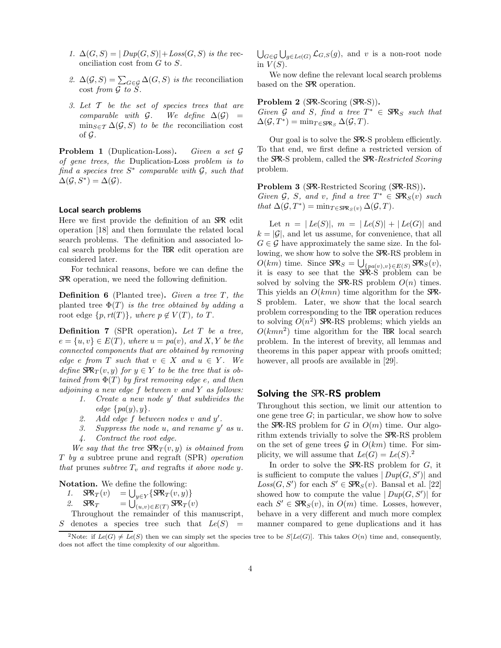- *1.*  $\Delta(G, S) = |Dup(G, S)| + Loss(G, S)$  *is the* reconciliation cost from G to S*.*
- 2.  $\Delta(\mathcal{G}, S) = \sum_{G \in \mathcal{G}} \Delta(G, S)$  *is the* reconciliation  $\cos t$  *from*  $\mathcal G$  *to*  $S$ *.*
- *3. Let* T *be the set of species trees that are comparable with*  $\mathcal{G}$ *. We define*  $\Delta(\mathcal{G})$  =  $\min_{S \in \mathcal{T}} \Delta(\mathcal{G}, S)$  *to be the* reconciliation cost of G*.*

Problem 1 (Duplication-Loss). *Given a set* G *of gene trees, the* Duplication-Loss *problem is to find a species tree* S ∗ *comparable with* G*, such that*  $\Delta(\mathcal{G}, S^*) = \Delta(\mathcal{G}).$ 

#### Local search problems

Here we first provide the definition of an SPR edit operation [18] and then formulate the related local search problems. The definition and associated local search problems for the TBR edit operation are considered later.

For technical reasons, before we can define the SPR operation, we need the following definition.

**Definition 6** (Planted tree). *Given a tree* T, the planted tree  $\Phi(T)$  *is the tree obtained by adding a* root edge  $\{p, rt(T)\}\$ *, where*  $p \notin V(T)$ *, to*  $T$ *.* 

Definition 7 (SPR operation). *Let* T *be a tree,*  $e = \{u, v\} \in E(T)$ , where  $u = pa(v)$ , and X, Y be the *connected components that are obtained by removing edge*  $e$  *from*  $T$  *such that*  $v \in X$  *and*  $u \in Y$ *. We*  $define \, \, \mathsf{SPR}_T(v, y) \, \, \textit{for} \, \, y \in Y \, \, \textit{to} \, \, be \, \, \textit{the \, tree that is \, ob-}$ *tained from*  $\Phi(T)$  *by first removing edge e, and then adjoining a new edge* f *between* v *and* Y *as follows:*

- *1. Create a new node* y ′ *that subdivides the edge* {*pa*(y), y}*.*
- *2. Add edge* f *between nodes* v *and* y ′ *.*
- *3. Suppress the node* u*, and rename* y ′ *as* u*.*
- *4. Contract the root edge.*

*We say that the tree*  $\mathsf{SPR}_T(v, y)$  *is obtained from* T *by a* subtree prune and regraft (SPR) *operation that* prunes *subtree*  $T_v$  *and* regrafts *it above node*  $y$ *.* 

Notation. We define the following:

- 1.  $\text{SPR}_T(v)$  $_{y\in Y} \{\operatorname{SPR}_T(v,\stackrel{\smallsmile}{y})\}$
- 2.  $SPR_T$  $\bigcup_{(u,v)\in E(T)}^{\infty}$  SPR $_T(v)$

Throughout the remainder of this manuscript, S denotes a species tree such that  $Le(S)$  =

 $\bigcup_{G \in \mathcal{G}} \bigcup_{g \in Le(G)} \mathcal{L}_{G,S}(g)$ , and v is a non-root node in  $V(S)$ .

We now define the relevant local search problems based on the SPR operation.

Problem 2 (SPR-Scoring (SPR-S)).

 $Given \mathcal{G}$  and  $S$ , find a tree  $T^* \in \mathbb{S}PR_S$  such that  $\Delta(\mathcal{G}, T^*) = \min_{T \in \text{SPR}_S} \Delta(\mathcal{G}, T).$ 

Our goal is to solve the SPR-S problem efficiently. To that end, we first define a restricted version of the SPR-S problem, called the SPR*-Restricted Scoring* problem.

Problem 3 (SPR-Restricted Scoring (SPR-RS)). *Given*  $G$ *, S, and v<sub></sub>, find a tree*  $T^* \in \mathsf{SPR}_S(v)$  *such that*  $\Delta(\mathcal{G}, T^*) = \min_{T \in \text{SPR}_S(v)} \Delta(\mathcal{G}, T)$ *.* 

Let  $n = | Le(S)|$ ,  $m = | Le(S)| + | Le(G)|$  and  $k = |\mathcal{G}|$ , and let us assume, for convenience, that all  $G \in \mathcal{G}$  have approximately the same size. In the following, we show how to solve the SPR-RS problem in  $O(km)$  time. Since  $SPR_S = \bigcup_{\{pa(v),v\} \in E(S)} SPR_S(v)$ , it is easy to see that the  $SPR-S$  problem can be solved by solving the SPR-RS problem  $O(n)$  times. This yields an  $O(kmn)$  time algorithm for the SPR-S problem. Later, we show that the local search problem corresponding to the TBR operation reduces to solving  $O(n^2)$  SPR-RS problems; which yields an  $O(kmn^2)$  time algorithm for the TBR local search problem. In the interest of brevity, all lemmas and theorems in this paper appear with proofs omitted; however, all proofs are available in [29].

## Solving the SPR-RS problem

Throughout this section, we limit our attention to one gene tree  $G$ ; in particular, we show how to solve the SPR-RS problem for G in  $O(m)$  time. Our algorithm extends trivially to solve the SPR-RS problem on the set of gene trees  $\mathcal G$  in  $O(km)$  time. For simplicity, we will assume that  $Le(G) = Le(S).$ <sup>2</sup>

In order to solve the SPR-RS problem for G, it is sufficient to compute the values  $|Dup(G, S')|$  and  $Loss(G, S')$  for each  $S' \in \mathbb{SPR}_S(v)$ . Bansal et al. [22] showed how to compute the value  $|Dup(G, S')|$  for each  $S' \in \mathsf{SPR}_S(v)$ , in  $O(m)$  time. Losses, however, behave in a very different and much more complex manner compared to gene duplications and it has

<sup>&</sup>lt;sup>2</sup>Note: if  $Le(G) \neq Le(S)$  then we can simply set the species tree to be  $S[Le(G)]$ . This takes  $O(n)$  time and, consequently, does not affect the time complexity of our algorithm.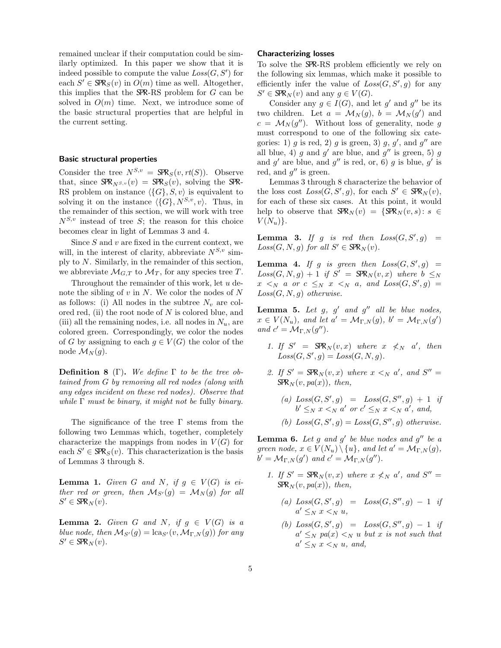remained unclear if their computation could be similarly optimized. In this paper we show that it is indeed possible to compute the value  $Loss(G, S')$  for each  $S' \in \mathsf{SPR}_S(v)$  in  $O(m)$  time as well. Altogether, this implies that the SPR-RS problem for G can be solved in  $O(m)$  time. Next, we introduce some of the basic structural properties that are helpful in the current setting.

#### Basic structural properties

Consider the tree  $N^{S,v} = \mathsf{SPR}_S(v, rt(S))$ . Observe that, since  $SPR_{N^{S,v}}(v) = SPR_S(v)$ , solving the SPR-RS problem on instance  $\langle G \}, S, v \rangle$  is equivalent to solving it on the instance  $\langle G \}, N^{S,v}, v \rangle$ . Thus, in the remainder of this section, we will work with tree  $N^{S,v}$  instead of tree S; the reason for this choice becomes clear in light of Lemmas 3 and 4.

Since  $S$  and  $v$  are fixed in the current context, we will, in the interest of clarity, abbreviate  $N^{S,v}$  simply to N. Similarly, in the remainder of this section, we abbreviate  $\mathcal{M}_{G,T}$  to  $\mathcal{M}_T$ , for any species tree T.

Throughout the remainder of this work, let  $u$  denote the sibling of  $v$  in  $N$ . We color the nodes of  $N$ as follows: (i) All nodes in the subtree  $N_v$  are colored red, (ii) the root node of  $N$  is colored blue, and (iii) all the remaining nodes, i.e. all nodes in  $N_u$ , are colored green. Correspondingly, we color the nodes of G by assigning to each  $g \in V(G)$  the color of the node  $\mathcal{M}_N(g)$ .

Definition 8 (Γ). *We define* Γ *to be the tree obtained from* G *by removing all red nodes (along with any edges incident on these red nodes). Observe that while* Γ *must be binary, it might not be* fully *binary.*

The significance of the tree Γ stems from the following two Lemmas which, together, completely characterize the mappings from nodes in  $V(G)$  for each  $S' \in \mathbb{S}PR_S(v)$ . This characterization is the basis of Lemmas 3 through 8.

**Lemma 1.** *Given G* and *N*, if  $g \in V(G)$  is ei*ther red or green, then*  $\mathcal{M}_{S'}(g) = \mathcal{M}_N(g)$  *for all*  $S' \in \mathsf{SPR}_N(v)$ .

**Lemma 2.** *Given* G and N, if  $g \in V(G)$  is a *blue node, then*  $\mathcal{M}_{S'}(g) = \text{lc}_{S'}(v, \mathcal{M}_{\Gamma,N}(g))$  *for any*  $S' \in \mathsf{SPR}_N(v)$ .

## Characterizing losses

To solve the SPR-RS problem efficiently we rely on the following six lemmas, which make it possible to efficiently infer the value of  $Loss(G, S', g)$  for any  $S' \in \mathsf{SPR}_N(v)$  and any  $g \in V(G)$ .

Consider any  $g \in I(G)$ , and let g' and g'' be its two children. Let  $a = \mathcal{M}_N(g)$ ,  $b = \mathcal{M}_N(g')$  and  $c = \mathcal{M}_N(g'')$ . Without loss of generality, node g must correspond to one of the following six categories: 1)  $g$  is red, 2)  $g$  is green, 3)  $g, g'$ , and  $g''$  are all blue, 4) g and  $g'$  are blue, and  $g''$  is green, 5) g and  $g'$  are blue, and  $g''$  is red, or, 6) g is blue, g' is red, and  $g''$  is green.

Lemmas 3 through 8 characterize the behavior of the loss cost  $Loss(\tilde{G}, S', g)$ , for each  $S' \in \mathsf{SPR}_N(v)$ , for each of these six cases. At this point, it would help to observe that  $\text{SPR}_N(v) = \{\text{SPR}_N(v, s): s \in$  $V(N_u)$ .

**Lemma 3.** If g is red then  $Loss(G, S', g)$  =  $Loss(G, N, g)$  *for all*  $S' \in \mathsf{SPR}_N(v)$ *.* 

**Lemma 4.** If g is green then  $Loss(G, S', g) =$  $Loss(G, N, g) + 1$  *if*  $S' = \text{SPR}_N(v, x)$  *where*  $b \leq_N$  $x \lt N$  a or  $c \leq_N x \lt N$  a, and  $Loss(G, S', g) =$ *Loss*(G, N, g) *otherwise.*

Lemma 5. *Let* g*,* g ′ *and* g ′′ *all be blue nodes,*  $x \in V(N_u)$ , and let  $a' = \mathcal{M}_{\Gamma,N}(g)$ ,  $b' = \mathcal{M}_{\Gamma,N}(g')$ *and*  $c' = \mathcal{M}_{\Gamma,N}(g'')$ *.* 

- 1. If  $S' = \text{SPR}_N(v, x)$  where  $x \nless N$  a', then  $Loss(G, S', g) = Loss(G, N, g).$
- 2. If  $S' = \text{SPR}_N(v, x)$  where  $x <_N a'$ , and  $S'' =$  $SPR_N(v, pa(x))$ *, then,* 
	- $(a) Loss(G, S', g) = Loss(G, S'', g) + 1$  *if*  $b' \leq_N x \leq_N a'$  or  $c' \leq_N x \leq_N a'$ , and,

(b)  $Loss(G, S', g) = Loss(G, S'', g)$  *otherwise.* 

Lemma 6. *Let* g *and* g ′ *be blue nodes and* g ′′ *be a green node,*  $x \in V(N_u) \setminus \{u\}$ *, and let*  $a' = \mathcal{M}_{\Gamma,N}(g)$ *,*  $b' = \mathcal{M}_{\Gamma,N}(g')$  and  $c' = \mathcal{M}_{\Gamma,N}(g'')$ .

- 1. If  $S' = \text{SPR}_N(v, x)$  where  $x \nless_N a'$ , and  $S'' =$  $SPR_N(v, pa(x))$ *, then,* 
	- $(a) Loss(G, S', g) = Loss(G, S'', g) 1$  *if*  $a' \leq_N x <_N u$ ,
	- $(b) Loss(G, S', g) = Loss(G, S'', g) 1$  *if*  $a' \leq_N pa(x) \leq_N u$  *but* x *is not such that*  $a' \leq_N x <_N u$ , and,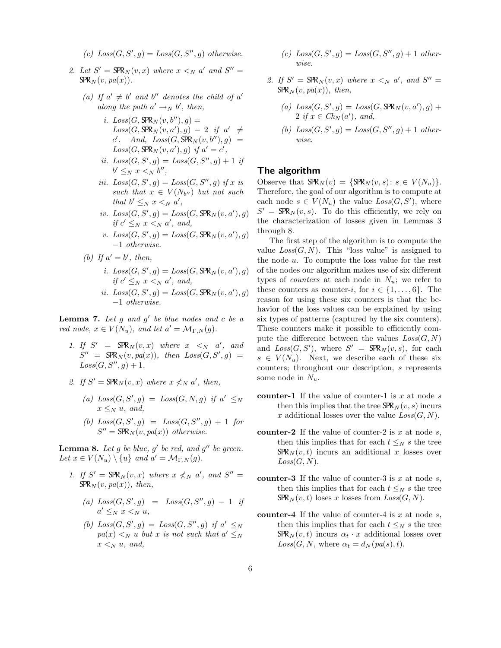- (c)  $Loss(G, S', g) = Loss(G, S'', g)$  *otherwise.*
- 2. Let  $S' = \text{SPR}_N(v, x)$  where  $x \leq_N a'$  and  $S'' =$  $SPR_N(v, pa(x))$ .
	- (a) If  $a' \neq b'$  and b'' denotes the child of  $a'$ *along the path*  $a' \rightarrow_N b'$ , then,
		- *i.*  $Loss(G, \text{SPR}_N(v, b''), g) =$  $Loss(G, \text{SPR}_N(v, a'), g) - 2$  *if*  $a' \neq$  $c'.$  And,  $Loss(G, \overline{SPR}_N(v, b''), g) =$  $Loss(G, \text{SPR}_N(v, a'), g)$  *if*  $a' = c',$
		- *ii.*  $Loss(G, S', g) = Loss(G, S'', g) + 1$  *if*  $b' \leq_N x <_N b''$ ,
		- *iii.*  $Loss(G, S', g) = Loss(G, S'', g)$  *if* x *is*  $such that x \in V(N_{b''}) but not such$ *that*  $b' \leq_N x \leq_N a'$ ,
		- $iv.$   $Loss(G, S', g) = Loss(G, \text{SPR}_N(v, a'), g)$ *if*  $c' \leq_N x \leq_N a'$ , and,
		- *v.*  $Loss(G, S', g) = Loss(G, \text{SPR}_N(v, a'), g)$ −1 *otherwise.*
	- (b) If  $a' = b'$ , then,
		- *i.*  $Loss(G, S', g) = Loss(G, \text{SPR}_N(v, a'), g)$ *if*  $c' \leq_N x \leq_N a'$ , and,
		- *ii.*  $Loss(G, S', g) = Loss(G, \text{SPR}_N(v, a'), g)$ −1 *otherwise.*

Lemma 7. *Let* g *and* g ′ *be blue nodes and* c *be a red node,*  $x \in V(N_u)$ *, and let*  $a' = \mathcal{M}_{\Gamma,N}(g)$ *.* 

- 1. If  $S' = \text{SPR}_N(v, x)$  where  $x <_N a'$ , and  $S'' = \mathsf{SPR}_N(v, pa(x)),$  then  $Loss(G, S', g) =$  $Loss(G, S'', g) + 1.$
- 2. If  $S' = \text{SPR}_N(v, x)$  where  $x \nless_N a'$ , then,
	- (a)  $Loss(G, S', g) = Loss(G, N, g)$  *if*  $a' \leq_N$  $x \leq_N u$ , and,
	- (b)  $Loss(G, S', g) = Loss(G, S'', g) + 1$  *for*  $S'' = \mathsf{SPR}_N(v, pa(x))$  *otherwise.*

**Lemma 8.** Let g be blue,  $g'$  be red, and  $g''$  be green. Let  $x \in V(N_u) \setminus \{u\}$  and  $a' = \mathcal{M}_{\Gamma,N}(g)$ .

- 1. If  $S' = \text{SPR}_N(v, x)$  where  $x \nless_N a'$ , and  $S'' =$  $SPR_N(v, pa(x))$ , then,
	- $(a) Loss(G, S', g) = Loss(G, S'', g) 1$  *if*  $a' \leq_N x <_N u$ ,
	- (b)  $Loss(G, S', g) = Loss(G, S'', g)$  *if*  $a' \leq_N$  $pa(x) \leq_N u$  *but* x *is not such that*  $a' \leq_N u$  $x \leq_N u$ , and,
- (c)  $Loss(G, S', g) = Loss(G, S'', g) + 1$  *otherwise.*
- 2. If  $S' = \text{SPR}_N(v, x)$  where  $x <_N a'$ , and  $S'' =$  $SPR_N(v, pa(x))$ *, then,* 
	- $(a) Loss(G, S', g) = Loss(G, \text{SPR}_N(v, a'), g) +$  $2 \text{ if } x \in Ch_N(a'), \text{ and,}$
	- (b)  $Loss(G, S', g) = Loss(G, S'', g) + 1$  *otherwise.*

### The algorithm

Observe that  $\text{SPR}_N(v) = \{\text{SPR}_N(v, s): s \in V(N_u)\}.$ Therefore, the goal of our algorithm is to compute at each node  $s \in V(N_u)$  the value  $Loss(G, S')$ , where  $S' = \mathsf{SPR}_N(v, s)$ . To do this efficiently, we rely on the characterization of losses given in Lemmas 3 through 8.

The first step of the algorithm is to compute the value  $Loss(G, N)$ . This "loss value" is assigned to the node  $u$ . To compute the loss value for the rest of the nodes our algorithm makes use of six different types of *counters* at each node in  $N_u$ ; we refer to these counters as counter-i, for  $i \in \{1, \ldots, 6\}$ . The reason for using these six counters is that the behavior of the loss values can be explained by using six types of patterns (captured by the six counters). These counters make it possible to efficiently compute the difference between the values  $Loss(G, N)$ and  $Loss(G, S')$ , where  $S' = \text{SPR}_N(v, s)$ , for each  $s \in V(N_u)$ . Next, we describe each of these six counters; throughout our description, s represents some node in  $N_u$ .

- **counter-1** If the value of counter-1 is  $x$  at node  $s$ then this implies that the tree  $\text{SPR}_N(v, s)$  incurs x additional losses over the value  $Loss(G, N)$ .
- counter-2 If the value of counter-2 is  $x$  at node  $s$ , then this implies that for each  $t \leq N$  s the tree  $SPR_N(v, t)$  incurs an additional x losses over  $Loss(G, N)$ .
- counter-3 If the value of counter-3 is  $x$  at node  $s$ , then this implies that for each  $t \leq_N s$  the tree  $SPR_N(v, t)$  loses x losses from  $Loss(G, N)$ .
- counter-4 If the value of counter-4 is  $x$  at node  $s$ , then this implies that for each  $t \leq_N s$  the tree  $\text{SPR}_N(v, t)$  incurs  $\alpha_t \cdot x$  additional losses over  $Loss(G, N, \text{ where } \alpha_t = d_N(pa(s), t).$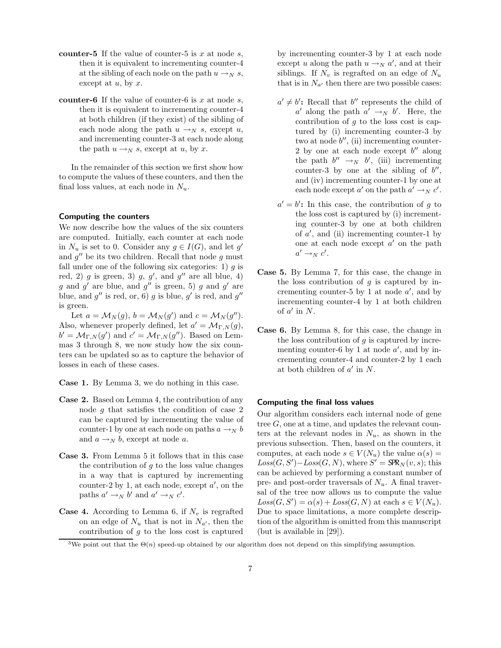- counter-5 If the value of counter-5 is  $x$  at node  $s$ , then it is equivalent to incrementing counter-4 at the sibling of each node on the path  $u \rightarrow_N s$ , except at  $u$ , by  $x$ .
- counter-6 If the value of counter-6 is  $x$  at node  $s$ , then it is equivalent to incrementing counter-4 at both children (if they exist) of the sibling of each node along the path  $u \rightarrow_N s$ , except u, and incrementing counter-3 at each node along the path  $u \rightarrow_N s$ , except at u, by x.

In the remainder of this section we first show how to compute the values of these counters, and then the final loss values, at each node in  $N_u$ .

#### Computing the counters

We now describe how the values of the six counters are computed. Initially, each counter at each node in  $N_u$  is set to 0. Consider any  $g \in I(G)$ , and let g' and  $g''$  be its two children. Recall that node  $g$  must fall under one of the following six categories: 1)  $q$  is red, 2)  $g$  is green, 3)  $g$ ,  $g'$ , and  $g''$  are all blue, 4) g and  $g'$  are blue, and  $g''$  is green, 5) g and  $g'$  are blue, and  $g''$  is red, or, 6) g is blue, g' is red, and  $g''$ is green.

Let  $a = \mathcal{M}_N(g)$ ,  $b = \mathcal{M}_N(g')$  and  $c = \mathcal{M}_N(g'')$ . Also, whenever properly defined, let  $a' = \mathcal{M}_{\Gamma,N}(g)$ ,  $b' = \mathcal{M}_{\Gamma,N}(g')$  and  $c' = \mathcal{M}_{\Gamma,N}(g'')$ . Based on Lemmas 3 through 8, we now study how the six counters can be updated so as to capture the behavior of losses in each of these cases.

Case 1. By Lemma 3, we do nothing in this case.

- Case 2. Based on Lemma 4, the contribution of any node g that satisfies the condition of case 2 can be captured by incrementing the value of counter-1 by one at each node on paths  $a \rightarrow_N b$ and  $a \rightarrow_N b$ , except at node a.
- Case 3. From Lemma 5 it follows that in this case the contribution of  $g$  to the loss value changes in a way that is captured by incrementing counter-2 by 1, at each node, except  $a'$ , on the paths  $a' \rightarrow_N b'$  and  $a' \rightarrow_N c'$ .
- **Case 4.** According to Lemma 6, if  $N_v$  is regrafted on an edge of  $N_u$  that is not in  $N_{a'}$ , then the contribution of  $g$  to the loss cost is captured

by incrementing counter-3 by 1 at each node except u along the path  $u \rightarrow_N a'$ , and at their siblings. If  $N_v$  is regrafted on an edge of  $N_u$ that is in  $N_{a'}$  then there are two possible cases:

- $a' \neq b'$ : Recall that  $b''$  represents the child of  $a'$  along the path  $a' \rightarrow_N b'$ . Here, the contribution of  $g$  to the loss cost is captured by (i) incrementing counter-3 by two at node  $b''$ , (ii) incrementing counter-2 by one at each node except  $b''$  along the path  $b'' \rightarrow_N b'$ , (iii) incrementing counter-3 by one at the sibling of  $b''$ , and (iv) incrementing counter-1 by one at each node except  $a'$  on the path  $a' \rightarrow_N c'$ .
- $a' = b'$ : In this case, the contribution of g to the loss cost is captured by (i) incrementing counter-3 by one at both children of  $a'$ , and (ii) incrementing counter-1 by one at each node except a ′ on the path  $a' \rightarrow_N c'.$
- Case 5. By Lemma 7, for this case, the change in the loss contribution of  $g$  is captured by incrementing counter-5 by 1 at node  $a'$ , and by incrementing counter-4 by 1 at both children of  $a'$  in  $N$ .
- Case 6. By Lemma 8, for this case, the change in the loss contribution of  $q$  is captured by incrementing counter-6 by 1 at node  $a'$ , and by incrementing counter-4 and counter-2 by 1 each at both children of  $a'$  in  $N$ .

## Computing the final loss values

Our algorithm considers each internal node of gene tree  $G$ , one at a time, and updates the relevant counters at the relevant nodes in  $N_u$ , as shown in the previous subsection. Then, based on the counters, it computes, at each node  $s \in V(N_u)$  the value  $\alpha(s)$  =  $Loss(G, S') - Loss(G, N)$ , where  $S' = \text{SPR}_N(v, s)$ ; this can be achieved by performing a constant number of pre- and post-order traversals of  $N_u$ . A final traversal of the tree now allows us to compute the value  $Loss(G, S') = \alpha(s) + Loss(G, N)$  at each  $s \in V(N_u)$ . Due to space limitations, a more complete description of the algorithm is omitted from this manuscript (but is available in [29]).

<sup>&</sup>lt;sup>3</sup>We point out that the  $\Theta(n)$  speed-up obtained by our algorithm does not depend on this simplifying assumption.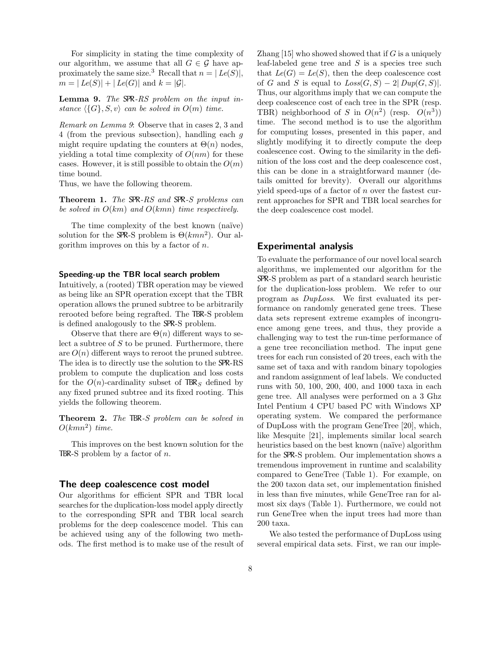For simplicity in stating the time complexity of our algorithm, we assume that all  $G \in \mathcal{G}$  have approximately the same size.<sup>3</sup> Recall that  $n = | Le(S)|$ ,  $m = | Le(S)| + | Le(G)|$  and  $k = |G|$ .

Lemma 9. *The* SPR*-RS problem on the input instance*  $\langle \{G\}, S, v \rangle$  *can be solved in*  $O(m)$  *time.* 

*Remark on Lemma 9*: Observe that in cases 2, 3 and 4 (from the previous subsection), handling each g might require updating the counters at  $\Theta(n)$  nodes, yielding a total time complexity of  $O(nm)$  for these cases. However, it is still possible to obtain the  $O(m)$ time bound.

Thus, we have the following theorem.

Theorem 1. *The* SPR*-RS and* SPR*-S problems can be solved in* O(km) *and* O(kmn) *time respectively.*

The time complexity of the best known (naïve) solution for the SPR-S problem is  $\Theta(kmn^2)$ . Our algorithm improves on this by a factor of  $n$ .

#### Speeding-up the TBR local search problem

Intuitively, a (rooted) TBR operation may be viewed as being like an SPR operation except that the TBR operation allows the pruned subtree to be arbitrarily rerooted before being regrafted. The TBR-S problem is defined analogously to the SPR-S problem.

Observe that there are  $\Theta(n)$  different ways to select a subtree of  $S$  to be pruned. Furthermore, there are  $O(n)$  different ways to reroot the pruned subtree. The idea is to directly use the solution to the SPR-RS problem to compute the duplication and loss costs for the  $O(n)$ -cardinality subset of TBR<sub>S</sub> defined by any fixed pruned subtree and its fixed rooting. This yields the following theorem.

Theorem 2. *The* TBR*-S problem can be solved in*  $O(kmn^2)$  time.

This improves on the best known solution for the TBR-S problem by a factor of  $n$ .

#### The deep coalescence cost model

Our algorithms for efficient SPR and TBR local searches for the duplication-loss model apply directly to the corresponding SPR and TBR local search problems for the deep coalescence model. This can be achieved using any of the following two methods. The first method is to make use of the result of Zhang  $[15]$  who showed showed that if G is a uniquely leaf-labeled gene tree and  $S$  is a species tree such that  $Le(G) = Le(S)$ , then the deep coalescence cost of G and S is equal to  $Loss(G, S) - 2| Dup(G, S)|$ . Thus, our algorithms imply that we can compute the deep coalescence cost of each tree in the SPR (resp. TBR) neighborhood of S in  $O(n^2)$  (resp.  $O(n^3)$ ) time. The second method is to use the algorithm for computing losses, presented in this paper, and slightly modifying it to directly compute the deep coalescence cost. Owing to the similarity in the definition of the loss cost and the deep coalescence cost, this can be done in a straightforward manner (details omitted for brevity). Overall our algorithms yield speed-ups of a factor of  $n$  over the fastest current approaches for SPR and TBR local searches for the deep coalescence cost model.

## Experimental analysis

To evaluate the performance of our novel local search algorithms, we implemented our algorithm for the SPR-S problem as part of a standard search heuristic for the duplication-loss problem. We refer to our program as *DupLoss*. We first evaluated its performance on randomly generated gene trees. These data sets represent extreme examples of incongruence among gene trees, and thus, they provide a challenging way to test the run-time performance of a gene tree reconciliation method. The input gene trees for each run consisted of 20 trees, each with the same set of taxa and with random binary topologies and random assignment of leaf labels. We conducted runs with 50, 100, 200, 400, and 1000 taxa in each gene tree. All analyses were performed on a 3 Ghz Intel Pentium 4 CPU based PC with Windows XP operating system. We compared the performance of DupLoss with the program GeneTree [20], which, like Mesquite [21], implements similar local search heuristics based on the best known (naïve) algorithm for the SPR-S problem. Our implementation shows a tremendous improvement in runtime and scalability compared to GeneTree (Table 1). For example, on the 200 taxon data set, our implementation finished in less than five minutes, while GeneTree ran for almost six days (Table 1). Furthermore, we could not run GeneTree when the input trees had more than 200 taxa.

We also tested the performance of DupLoss using several empirical data sets. First, we ran our imple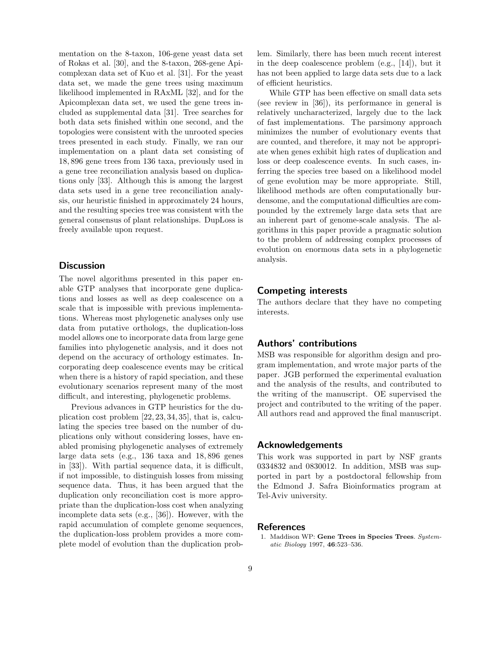mentation on the 8-taxon, 106-gene yeast data set of Rokas et al. [30], and the 8-taxon, 268-gene Apicomplexan data set of Kuo et al. [31]. For the yeast data set, we made the gene trees using maximum likelihood implemented in RAxML [32], and for the Apicomplexan data set, we used the gene trees included as supplemental data [31]. Tree searches for both data sets finished within one second, and the topologies were consistent with the unrooted species trees presented in each study. Finally, we ran our implementation on a plant data set consisting of 18, 896 gene trees from 136 taxa, previously used in a gene tree reconciliation analysis based on duplications only [33]. Although this is among the largest data sets used in a gene tree reconciliation analysis, our heuristic finished in approximately 24 hours, and the resulting species tree was consistent with the general consensus of plant relationships. DupLoss is freely available upon request.

## **Discussion**

The novel algorithms presented in this paper enable GTP analyses that incorporate gene duplications and losses as well as deep coalescence on a scale that is impossible with previous implementations. Whereas most phylogenetic analyses only use data from putative orthologs, the duplication-loss model allows one to incorporate data from large gene families into phylogenetic analysis, and it does not depend on the accuracy of orthology estimates. Incorporating deep coalescence events may be critical when there is a history of rapid speciation, and these evolutionary scenarios represent many of the most difficult, and interesting, phylogenetic problems.

Previous advances in GTP heuristics for the duplication cost problem [22, 23, 34, 35], that is, calculating the species tree based on the number of duplications only without considering losses, have enabled promising phylogenetic analyses of extremely large data sets (e.g., 136 taxa and 18, 896 genes in [33]). With partial sequence data, it is difficult, if not impossible, to distinguish losses from missing sequence data. Thus, it has been argued that the duplication only reconciliation cost is more appropriate than the duplication-loss cost when analyzing incomplete data sets (e.g., [36]). However, with the rapid accumulation of complete genome sequences, the duplication-loss problem provides a more complete model of evolution than the duplication problem. Similarly, there has been much recent interest in the deep coalescence problem (e.g., [14]), but it has not been applied to large data sets due to a lack of efficient heuristics.

While GTP has been effective on small data sets (see review in [36]), its performance in general is relatively uncharacterized, largely due to the lack of fast implementations. The parsimony approach minimizes the number of evolutionary events that are counted, and therefore, it may not be appropriate when genes exhibit high rates of duplication and loss or deep coalescence events. In such cases, inferring the species tree based on a likelihood model of gene evolution may be more appropriate. Still, likelihood methods are often computationally burdensome, and the computational difficulties are compounded by the extremely large data sets that are an inherent part of genome-scale analysis. The algorithms in this paper provide a pragmatic solution to the problem of addressing complex processes of evolution on enormous data sets in a phylogenetic analysis.

## Competing interests

The authors declare that they have no competing interests.

## Authors' contributions

MSB was responsible for algorithm design and program implementation, and wrote major parts of the paper. JGB performed the experimental evaluation and the analysis of the results, and contributed to the writing of the manuscript. OE supervised the project and contributed to the writing of the paper. All authors read and approved the final manuscript.

## Acknowledgements

This work was supported in part by NSF grants 0334832 and 0830012. In addition, MSB was supported in part by a postdoctoral fellowship from the Edmond J. Safra Bioinformatics program at Tel-Aviv university.

#### References

1. Maddison WP: Gene Trees in Species Trees. *Systematic Biology* 1997, 46:523–536.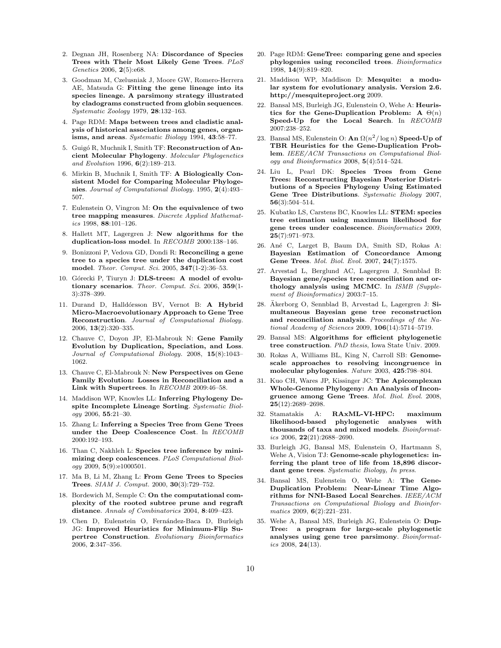- 2. Degnan JH, Rosenberg NA: Discordance of Species Trees with Their Most Likely Gene Trees. *PLoS Genetics* 2006, 2(5):e68.
- 3. Goodman M, Czelusniak J, Moore GW, Romero-Herrera AE, Matsuda G: Fitting the gene lineage into its species lineage. A parsimony strategy illustrated by cladograms constructed from globin sequences. *Systematic Zoology* 1979, 28:132–163.
- 4. Page RDM: Maps between trees and cladistic analysis of historical associations among genes, organisms, and areas. *Systematic Biology* 1994, 43:58–77.
- 5. Guigó R, Muchnik I, Smith TF: Reconstruction of Ancient Molecular Phylogeny. *Molecular Phylogenetics and Evolution* 1996, 6(2):189–213.
- 6. Mirkin B, Muchnik I, Smith TF: A Biologically Consistent Model for Comparing Molecular Phylogenies. *Journal of Computational Biology.* 1995, 2(4):493– 507.
- 7. Eulenstein O, Vingron M: On the equivalence of two tree mapping measures. *Discrete Applied Mathematics* 1998, 88:101–126.
- 8. Hallett MT, Lagergren J: New algorithms for the duplication-loss model. In *RECOMB* 2000:138–146.
- 9. Bonizzoni P, Vedova GD, Dondi R: Reconciling a gene tree to a species tree under the duplication cost model. *Theor. Comput. Sci.* 2005, 347(1-2):36–53.
- 10. Górecki P, Tiuryn J: DLS-trees: A model of evolutionary scenarios. *Theor. Comput. Sci.* 2006, 359(1- 3):378–399.
- 11. Durand D, Halldórsson BV, Vernot B: A Hybrid Micro-Macroevolutionary Approach to Gene Tree Reconstruction. *Journal of Computational Biology.* 2006, 13(2):320–335.
- 12. Chauve C, Doyon JP, El-Mabrouk N: Gene Family Evolution by Duplication, Speciation, and Loss. *Journal of Computational Biology.* 2008, 15(8):1043– 1062.
- 13. Chauve C, El-Mabrouk N: New Perspectives on Gene Family Evolution: Losses in Reconciliation and a Link with Supertrees. In *RECOMB* 2009:46–58.
- 14. Maddison WP, Knowles LL: Inferring Phylogeny Despite Incomplete Lineage Sorting. *Systematic Biology* 2006, 55:21–30.
- 15. Zhang L: Inferring a Species Tree from Gene Trees under the Deep Coalescence Cost. In *RECOMB* 2000:192–193.
- 16. Than C, Nakhleh L: Species tree inference by minimizing deep coalescences. *PLoS Computational Biology* 2009, 5(9):e1000501.
- 17. Ma B, Li M, Zhang L: From Gene Trees to Species Trees. *SIAM J. Comput.* 2000, 30(3):729–752.
- 18. Bordewich M, Semple C: On the computational complexity of the rooted subtree prune and regraft distance. *Annals of Combinatorics* 2004, 8:409–423.
- 19. Chen D, Eulenstein O, Fernández-Baca D, Burleigh JG: Improved Heuristics for Minimum-Flip Supertree Construction. *Evolutionary Bioinformatics* 2006, 2:347–356.
- 20. Page RDM: GeneTree: comparing gene and species phylogenies using reconciled trees. *Bioinformatics* 1998, 14(9):819–820.
- 21. Maddison WP, Maddison D: Mesquite: a modular system for evolutionary analysis. Version 2.6. http://mesquiteproject.org 2009.
- 22. Bansal MS, Burleigh JG, Eulenstein O, Wehe A: Heuristics for the Gene-Duplication Problem: A  $\Theta(n)$ Speed-Up for the Local Search. In *RECOMB* 2007:238–252.
- 23. Bansal MS, Eulenstein O: An  $\Omega(n^2/\log n)$  Speed-Up of TBR Heuristics for the Gene-Duplication Problem. *IEEE/ACM Transactions on Computational Biology and Bioinformatics* 2008, 5(4):514–524.
- 24. Liu L, Pearl DK: Species Trees from Gene Trees: Reconstructing Bayesian Posterior Distributions of a Species Phylogeny Using Estimated Gene Tree Distributions. *Systematic Biology* 2007, 56(3):504–514.
- 25. Kubatko LS, Carstens BC, Knowles LL: STEM: species tree estimation using maximum likelihood for gene trees under coalescence. *Bioinformatics* 2009, 25(7):971–973.
- 26. An´e C, Larget B, Baum DA, Smith SD, Rokas A: Bayesian Estimation of Concordance Among Gene Trees. *Mol. Biol. Evol.* 2007, 24(7):1575.
- 27. Arvestad L, Berglund AC, Lagergren J, Sennblad B: Bayesian gene/species tree reconciliation and orthology analysis using MCMC. In *ISMB (Supplement of Bioinformatics)* 2003:7–15.
- 28. Äkerborg O, Sennblad B, Arvestad L, Lagergren J: Simultaneous Bayesian gene tree reconstruction and reconciliation analysis. *Proceedings of the National Academy of Sciences* 2009, 106(14):5714–5719.
- 29. Bansal MS: Algorithms for efficient phylogenetic tree construction. *PhD thesis*, Iowa State Univ. 2009.
- 30. Rokas A, Williams BL, King N, Carroll SB: Genomescale approaches to resolving incongruence in molecular phylogenies. *Nature* 2003, 425:798–804.
- 31. Kuo CH, Wares JP, Kissinger JC: The Apicomplexan Whole-Genome Phylogeny: An Analysis of Incongruence among Gene Trees. *Mol. Biol. Evol.* 2008, 25(12):2689–2698.
- 32. Stamatakis A: RAxML-VI-HPC: maximum likelihood-based phylogenetic analyses with thousands of taxa and mixed models. *Bioinformatics* 2006, 22(21):2688–2690.
- 33. Burleigh JG, Bansal MS, Eulenstein O, Hartmann S, Wehe A, Vision TJ: Genome-scale phylogenetics: inferring the plant tree of life from 18,896 discordant gene trees. *Systematic Biology, In press*.
- 34. Bansal MS, Eulenstein O, Wehe A: The Gene-Duplication Problem: Near-Linear Time Algorithms for NNI-Based Local Searches. *IEEE/ACM Transactions on Computational Biology and Bioinformatics* 2009, 6(2):221–231.
- 35. Wehe A, Bansal MS, Burleigh JG, Eulenstein O: Dup-Tree: a program for large-scale phylogenetic analyses using gene tree parsimony. *Bioinformatics* 2008, 24(13).